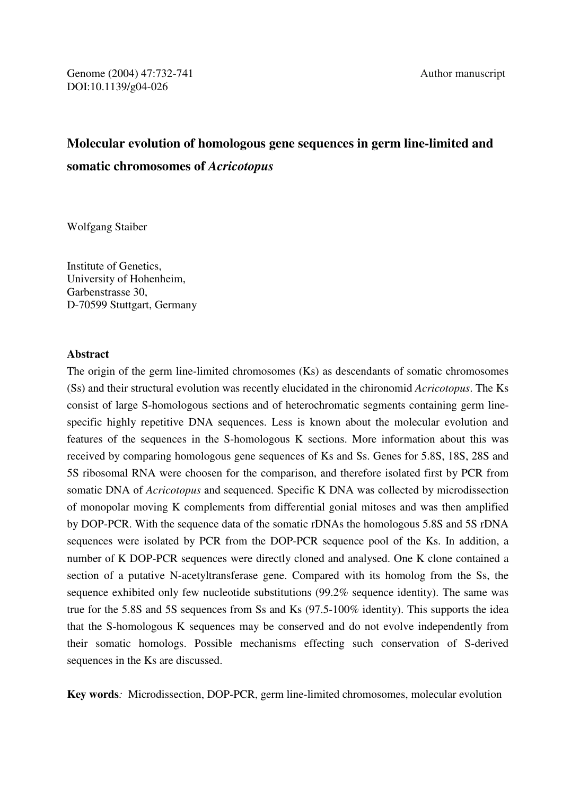# **Molecular evolution of homologous gene sequences in germ line-limited and somatic chromosomes of** *Acricotopus*

Wolfgang Staiber

Institute of Genetics, University of Hohenheim, Garbenstrasse 30, D-70599 Stuttgart, Germany

## **Abstract**

The origin of the germ line-limited chromosomes (Ks) as descendants of somatic chromosomes (Ss) and their structural evolution was recently elucidated in the chironomid *Acricotopus*. The Ks consist of large S-homologous sections and of heterochromatic segments containing germ linespecific highly repetitive DNA sequences. Less is known about the molecular evolution and features of the sequences in the S-homologous K sections. More information about this was received by comparing homologous gene sequences of Ks and Ss. Genes for 5.8S, 18S, 28S and 5S ribosomal RNA were choosen for the comparison, and therefore isolated first by PCR from somatic DNA of *Acricotopus* and sequenced. Specific K DNA was collected by microdissection of monopolar moving K complements from differential gonial mitoses and was then amplified by DOP-PCR. With the sequence data of the somatic rDNAs the homologous 5.8S and 5S rDNA sequences were isolated by PCR from the DOP-PCR sequence pool of the Ks. In addition, a number of K DOP-PCR sequences were directly cloned and analysed. One K clone contained a section of a putative N-acetyltransferase gene. Compared with its homolog from the Ss, the sequence exhibited only few nucleotide substitutions (99.2% sequence identity). The same was true for the 5.8S and 5S sequences from Ss and Ks (97.5-100% identity). This supports the idea that the S-homologous K sequences may be conserved and do not evolve independently from their somatic homologs. Possible mechanisms effecting such conservation of S-derived sequences in the Ks are discussed.

**Key words***:* Microdissection, DOP-PCR, germ line-limited chromosomes, molecular evolution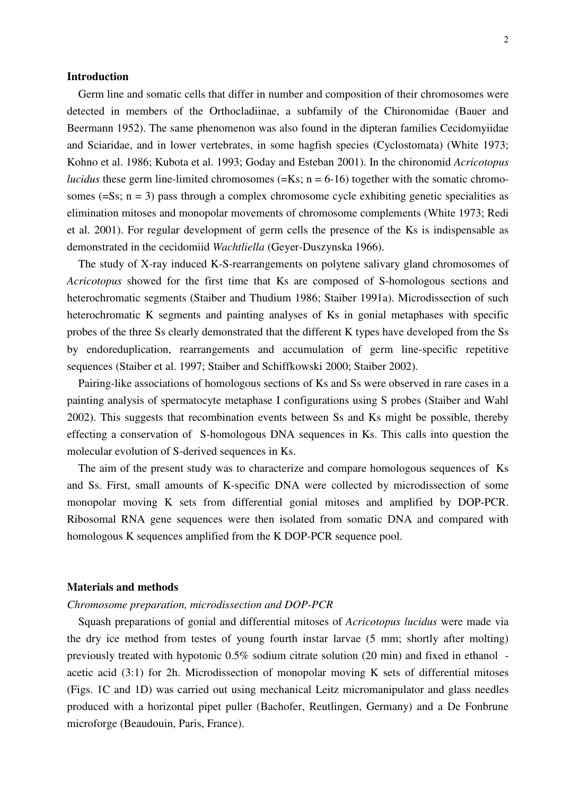#### **Introduction**

 Germ line and somatic cells that differ in number and composition of their chromosomes were detected in members of the Orthocladiinae, a subfamily of the Chironomidae (Bauer and Beermann 1952). The same phenomenon was also found in the dipteran families Cecidomyiidae and Sciaridae, and in lower vertebrates, in some hagfish species (Cyclostomata) (White 1973; Kohno et al. 1986; Kubota et al. 1993; Goday and Esteban 2001). In the chironomid *Acricotopus lucidus* these germ line-limited chromosomes ( $=$ Ks; n  $=$  6-16) together with the somatic chromosomes  $(=S<sub>s</sub>; n = 3)$  pass through a complex chromosome cycle exhibiting genetic specialities as elimination mitoses and monopolar movements of chromosome complements (White 1973; Redi et al. 2001). For regular development of germ cells the presence of the Ks is indispensable as demonstrated in the cecidomiid *Wachtliella* (Geyer-Duszynska 1966).

 The study of X-ray induced K-S-rearrangements on polytene salivary gland chromosomes of *Acricotopus* showed for the first time that Ks are composed of S-homologous sections and heterochromatic segments (Staiber and Thudium 1986; Staiber 1991a). Microdissection of such heterochromatic K segments and painting analyses of Ks in gonial metaphases with specific probes of the three Ss clearly demonstrated that the different K types have developed from the Ss by endoreduplication, rearrangements and accumulation of germ line-specific repetitive sequences (Staiber et al. 1997; Staiber and Schiffkowski 2000; Staiber 2002).

 Pairing-like associations of homologous sections of Ks and Ss were observed in rare cases in a painting analysis of spermatocyte metaphase I configurations using S probes (Staiber and Wahl 2002). This suggests that recombination events between Ss and Ks might be possible, thereby effecting a conservation of S-homologous DNA sequences in Ks. This calls into question the molecular evolution of S-derived sequences in Ks.

 The aim of the present study was to characterize and compare homologous sequences of Ks and Ss. First, small amounts of K-specific DNA were collected by microdissection of some monopolar moving K sets from differential gonial mitoses and amplified by DOP-PCR. Ribosomal RNA gene sequences were then isolated from somatic DNA and compared with homologous K sequences amplified from the K DOP-PCR sequence pool.

## **Materials and methods**

## *Chromosome preparation, microdissection and DOP-PCR*

 Squash preparations of gonial and differential mitoses of *Acricotopus lucidus* were made via the dry ice method from testes of young fourth instar larvae (5 mm; shortly after molting) previously treated with hypotonic 0.5% sodium citrate solution (20 min) and fixed in ethanol acetic acid (3:1) for 2h. Microdissection of monopolar moving K sets of differential mitoses (Figs. 1C and 1D) was carried out using mechanical Leitz micromanipulator and glass needles produced with a horizontal pipet puller (Bachofer, Reutlingen, Germany) and a De Fonbrune microforge (Beaudouin, Paris, France).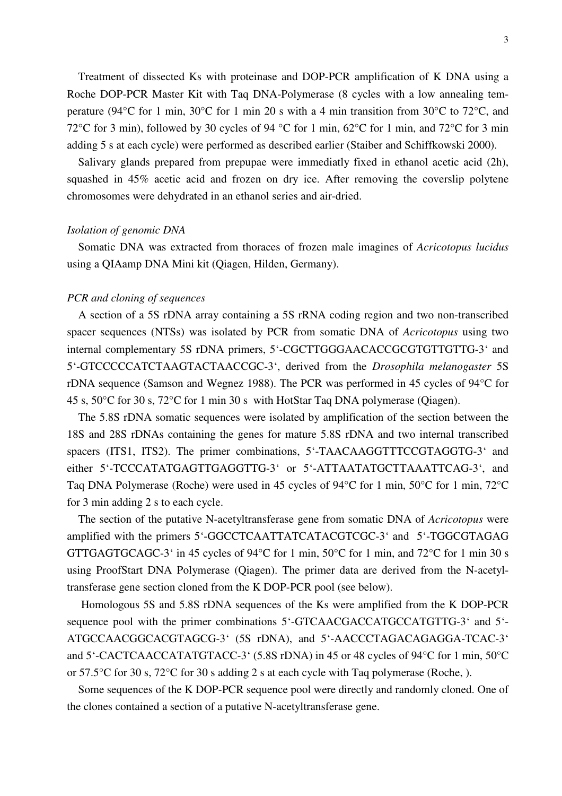Treatment of dissected Ks with proteinase and DOP-PCR amplification of K DNA using a Roche DOP-PCR Master Kit with Taq DNA-Polymerase (8 cycles with a low annealing temperature (94°C for 1 min, 30°C for 1 min 20 s with a 4 min transition from 30°C to 72°C, and 72°C for 3 min), followed by 30 cycles of 94 °C for 1 min, 62°C for 1 min, and 72°C for 3 min adding 5 s at each cycle) were performed as described earlier (Staiber and Schiffkowski 2000).

 Salivary glands prepared from prepupae were immediatly fixed in ethanol acetic acid (2h), squashed in 45% acetic acid and frozen on dry ice. After removing the coverslip polytene chromosomes were dehydrated in an ethanol series and air-dried.

#### *Isolation of genomic DNA*

 Somatic DNA was extracted from thoraces of frozen male imagines of *Acricotopus lucidus*  using a QIAamp DNA Mini kit (Qiagen, Hilden, Germany).

## *PCR and cloning of sequences*

 A section of a 5S rDNA array containing a 5S rRNA coding region and two non-transcribed spacer sequences (NTSs) was isolated by PCR from somatic DNA of *Acricotopus* using two internal complementary 5S rDNA primers, 5'-CGCTTGGGAACACCGCGTGTTGTTG-3' and 5'-GTCCCCCATCTAAGTACTAACCGC-3', derived from the *Drosophila melanogaster* 5S rDNA sequence (Samson and Wegnez 1988). The PCR was performed in 45 cycles of 94°C for 45 s, 50°C for 30 s, 72°C for 1 min 30 s with HotStar Taq DNA polymerase (Qiagen).

 The 5.8S rDNA somatic sequences were isolated by amplification of the section between the 18S and 28S rDNAs containing the genes for mature 5.8S rDNA and two internal transcribed spacers (ITS1, ITS2). The primer combinations, 5'-TAACAAGGTTTCCGTAGGTG-3' and either 5'-TCCCATATGAGTTGAGGTTG-3' or 5'-ATTAATATGCTTAAATTCAG-3', and Taq DNA Polymerase (Roche) were used in 45 cycles of 94°C for 1 min, 50°C for 1 min, 72°C for 3 min adding 2 s to each cycle.

 The section of the putative N-acetyltransferase gene from somatic DNA of *Acricotopus* were amplified with the primers 5'-GGCCTCAATTATCATACGTCGC-3' and 5'-TGGCGTAGAG GTTGAGTGCAGC-3' in 45 cycles of 94°C for 1 min, 50°C for 1 min, and 72°C for 1 min 30 s using ProofStart DNA Polymerase (Qiagen). The primer data are derived from the N-acetyltransferase gene section cloned from the K DOP-PCR pool (see below).

 Homologous 5S and 5.8S rDNA sequences of the Ks were amplified from the K DOP-PCR sequence pool with the primer combinations 5'-GTCAACGACCATGCCATGTTG-3' and 5'-ATGCCAACGGCACGTAGCG-3' (5S rDNA), and 5'-AACCCTAGACAGAGGA-TCAC-3' and 5'-CACTCAACCATATGTACC-3' (5.8S rDNA) in 45 or 48 cycles of 94°C for 1 min, 50°C or 57.5°C for 30 s, 72°C for 30 s adding 2 s at each cycle with Taq polymerase (Roche, ).

 Some sequences of the K DOP-PCR sequence pool were directly and randomly cloned. One of the clones contained a section of a putative N-acetyltransferase gene.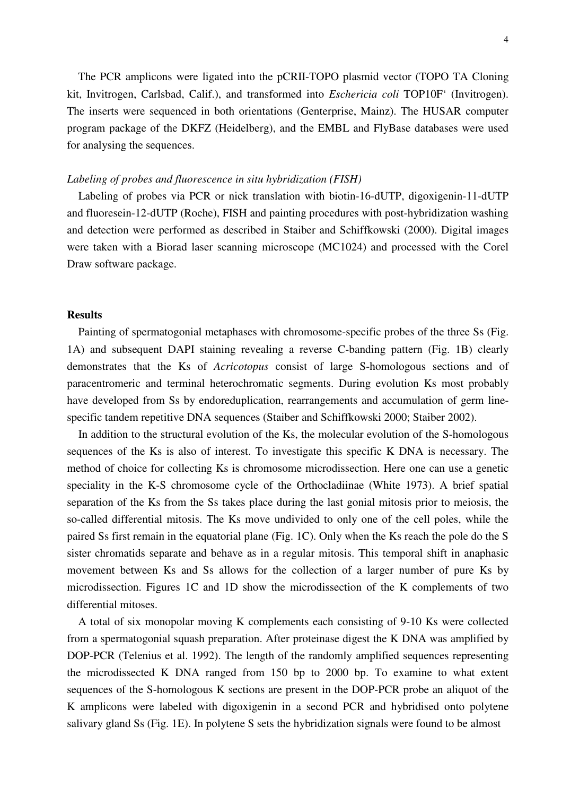The PCR amplicons were ligated into the pCRII-TOPO plasmid vector (TOPO TA Cloning kit, Invitrogen, Carlsbad, Calif.), and transformed into *Eschericia coli* TOP10F' (Invitrogen). The inserts were sequenced in both orientations (Genterprise, Mainz). The HUSAR computer program package of the DKFZ (Heidelberg), and the EMBL and FlyBase databases were used for analysing the sequences.

#### *Labeling of probes and fluorescence in situ hybridization (FISH)*

 Labeling of probes via PCR or nick translation with biotin-16-dUTP, digoxigenin-11-dUTP and fluoresein-12-dUTP (Roche), FISH and painting procedures with post-hybridization washing and detection were performed as described in Staiber and Schiffkowski (2000). Digital images were taken with a Biorad laser scanning microscope (MC1024) and processed with the Corel Draw software package.

## **Results**

 Painting of spermatogonial metaphases with chromosome-specific probes of the three Ss (Fig. 1A) and subsequent DAPI staining revealing a reverse C-banding pattern (Fig. 1B) clearly demonstrates that the Ks of *Acricotopus* consist of large S-homologous sections and of paracentromeric and terminal heterochromatic segments. During evolution Ks most probably have developed from Ss by endoreduplication, rearrangements and accumulation of germ linespecific tandem repetitive DNA sequences (Staiber and Schiffkowski 2000; Staiber 2002).

 In addition to the structural evolution of the Ks, the molecular evolution of the S-homologous sequences of the Ks is also of interest. To investigate this specific K DNA is necessary. The method of choice for collecting Ks is chromosome microdissection. Here one can use a genetic speciality in the K-S chromosome cycle of the Orthocladiinae (White 1973). A brief spatial separation of the Ks from the Ss takes place during the last gonial mitosis prior to meiosis, the so-called differential mitosis. The Ks move undivided to only one of the cell poles, while the paired Ss first remain in the equatorial plane (Fig. 1C). Only when the Ks reach the pole do the S sister chromatids separate and behave as in a regular mitosis. This temporal shift in anaphasic movement between Ks and Ss allows for the collection of a larger number of pure Ks by microdissection. Figures 1C and 1D show the microdissection of the K complements of two differential mitoses.

 A total of six monopolar moving K complements each consisting of 9-10 Ks were collected from a spermatogonial squash preparation. After proteinase digest the K DNA was amplified by DOP-PCR (Telenius et al. 1992). The length of the randomly amplified sequences representing the microdissected K DNA ranged from 150 bp to 2000 bp. To examine to what extent sequences of the S-homologous K sections are present in the DOP-PCR probe an aliquot of the K amplicons were labeled with digoxigenin in a second PCR and hybridised onto polytene salivary gland Ss (Fig. 1E). In polytene S sets the hybridization signals were found to be almost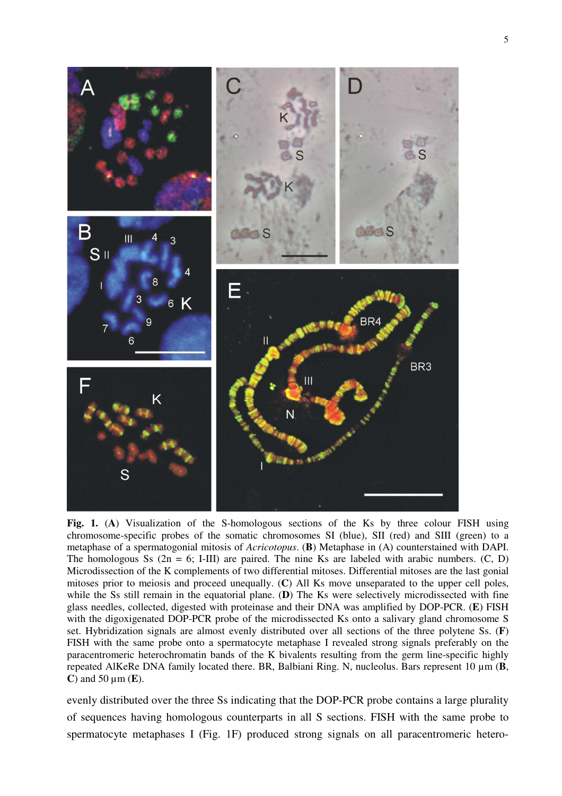

**Fig. 1.** (**A**) Visualization of the S-homologous sections of the Ks by three colour FISH using chromosome-specific probes of the somatic chromosomes SI (blue), SII (red) and SIII (green) to a metaphase of a spermatogonial mitosis of *Acricotopus*. (**B**) Metaphase in (A) counterstained with DAPI. The homologous Ss  $(2n = 6; I-III)$  are paired. The nine Ks are labeled with arabic numbers.  $(C, D)$ Microdissection of the K complements of two differential mitoses. Differential mitoses are the last gonial mitoses prior to meiosis and proceed unequally. (**C**) All Ks move unseparated to the upper cell poles, while the Ss still remain in the equatorial plane. (**D**) The Ks were selectively microdissected with fine glass needles, collected, digested with proteinase and their DNA was amplified by DOP-PCR. (**E**) FISH with the digoxigenated DOP-PCR probe of the microdissected Ks onto a salivary gland chromosome S set. Hybridization signals are almost evenly distributed over all sections of the three polytene Ss. (**F**) FISH with the same probe onto a spermatocyte metaphase I revealed strong signals preferably on the paracentromeric heterochromatin bands of the K bivalents resulting from the germ line-specific highly repeated AlKeRe DNA family located there. BR, Balbiani Ring. N, nucleolus. Bars represent 10 µm (**B**, **C**) and 50 µm (**E**).

evenly distributed over the three Ss indicating that the DOP-PCR probe contains a large plurality of sequences having homologous counterparts in all S sections. FISH with the same probe to spermatocyte metaphases I (Fig. 1F) produced strong signals on all paracentromeric hetero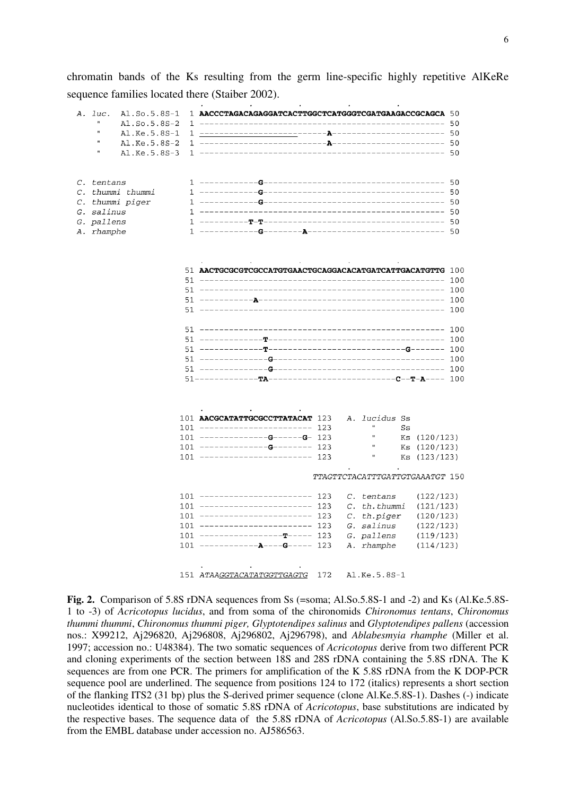chromatin bands of the Ks resulting from the germ line-specific highly repetitive AlKeRe sequence families located there (Staiber 2002).

|  | A. luc.                  | Al.So.5.8S-1                                                  | $1$ AACCCTAGACAGAGGATCACTTGGCTCATGGGTCGATGAAGACCGCAGCA $50$           |  |
|--|--------------------------|---------------------------------------------------------------|-----------------------------------------------------------------------|--|
|  | π                        | Al.So.5.8S-2                                                  |                                                                       |  |
|  | Ħ                        | Al.Ke.5.8S-1                                                  |                                                                       |  |
|  | $\mathbf{H}$             | Al.Ke.5.8S-2                                                  |                                                                       |  |
|  | п                        | Al.Ke.5.8S-3                                                  |                                                                       |  |
|  | C. tentans               |                                                               |                                                                       |  |
|  |                          | C. thummi thummi                                              |                                                                       |  |
|  |                          | C. thummi piger                                               |                                                                       |  |
|  | G. salinus               |                                                               |                                                                       |  |
|  | G. pallens<br>A. rhamphe |                                                               |                                                                       |  |
|  |                          |                                                               |                                                                       |  |
|  |                          |                                                               | 51 AACTGCGCGTCGCCATGTGAACTGCAGGACACATGATCATTGACATGTTG 100             |  |
|  |                          |                                                               |                                                                       |  |
|  |                          |                                                               |                                                                       |  |
|  |                          |                                                               |                                                                       |  |
|  |                          |                                                               |                                                                       |  |
|  |                          |                                                               |                                                                       |  |
|  |                          |                                                               |                                                                       |  |
|  |                          |                                                               |                                                                       |  |
|  |                          |                                                               |                                                                       |  |
|  |                          |                                                               |                                                                       |  |
|  |                          |                                                               |                                                                       |  |
|  |                          |                                                               | A. lucidus Ss<br>101 AACGCATATTGCGCCTTATACAT 123                      |  |
|  |                          |                                                               | 101 ----------------------- 123<br>Ss                                 |  |
|  |                          |                                                               | $101$ -------------G-----G- 123<br>Ks (120/123)                       |  |
|  |                          |                                                               | $101$ --------------G-------- 123<br>Ks (120/123)                     |  |
|  |                          |                                                               | 101 ----------------------- 123<br>Ks (123/123)                       |  |
|  |                          |                                                               | TTAGTTCTACATTTGATTGTGAAATGT 150                                       |  |
|  |                          |                                                               | 101 ---------------------- 123<br>C. tentans<br>(122/123)             |  |
|  |                          | $101$ ---------------------- 123<br>C. th.thummi<br>(121/123) |                                                                       |  |
|  |                          |                                                               | $101$ ----------------------- 123<br>C. th.piger<br>(120/123)         |  |
|  |                          |                                                               | G. salinus<br>101 ---------------------- 123<br>(122/123)             |  |
|  |                          |                                                               | G. pallens<br>$101$ ---------------------- 123<br>(119/123)           |  |
|  |                          |                                                               | $101$ ------------ <b>A</b> ----G----- 123<br>A. rhamphe<br>(114/123) |  |
|  |                          |                                                               | 151 ATAAGGTACATATGGTTGAGTG<br>Al.Ke.5.8S-1<br>172                     |  |

**Fig. 2.** Comparison of 5.8S rDNA sequences from Ss (=soma; Al.So.5.8S-1 and -2) and Ks (Al.Ke.5.8S-1 to -3) of *Acricotopus lucidus*, and from soma of the chironomids *Chironomus tentans*, *Chironomus thummi thummi*, *Chironomus thummi piger, Glyptotendipes salinus* and *Glyptotendipes pallens* (accession nos.: X99212, Aj296820, Aj296808, Aj296802, Aj296798), and *Ablabesmyia rhamphe* (Miller et al. 1997; accession no.: U48384). The two somatic sequences of *Acricotopus* derive from two different PCR and cloning experiments of the section between 18S and 28S rDNA containing the 5.8S rDNA. The K sequences are from one PCR. The primers for amplification of the K 5.8S rDNA from the K DOP-PCR sequence pool are underlined. The sequence from positions 124 to 172 (italics) represents a short section of the flanking ITS2 (31 bp) plus the S-derived primer sequence (clone Al.Ke.5.8S-1). Dashes (-) indicate nucleotides identical to those of somatic 5.8S rDNA of *Acricotopus*, base substitutions are indicated by the respective bases. The sequence data of the 5.8S rDNA of *Acricotopus* (Al.So.5.8S-1) are available from the EMBL database under accession no. AJ586563.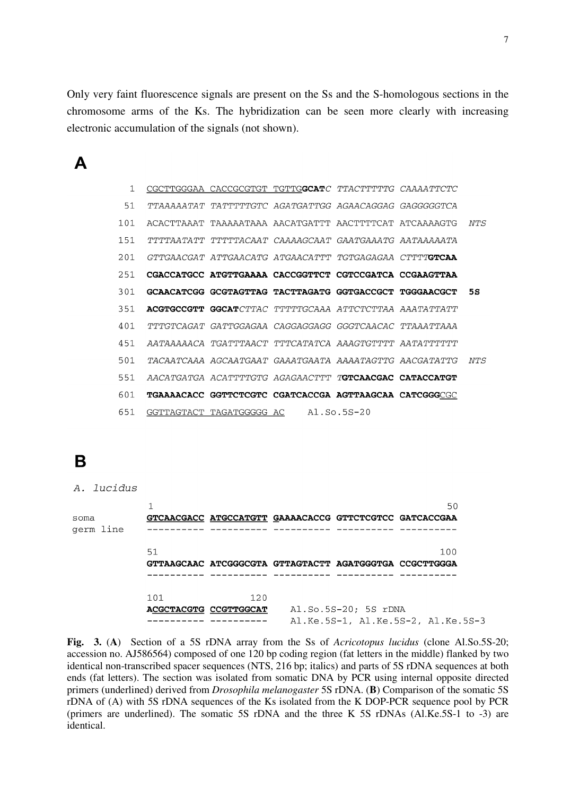Only very faint fluorescence signals are present on the Ss and the S-homologous sections in the chromosome arms of the Ks. The hybridization can be seen more clearly with increasing electronic accumulation of the signals (not shown).

 $\blacktriangle$ 

| $\mathbf{1}$ | CGCTTGGGAA CACCGCGTGT TGTTGGCATC TTACTTTTTG CAAAATTCTC         |  |      |
|--------------|----------------------------------------------------------------|--|------|
| 51           | TTAAAAATAT TATTTTTGTC AGATGATTGG AGAACAGGAG GAGGGGGTCA         |  |      |
| 101          | ACACTTAAAT TAAAAATAAA AACATGATTT AACTTTTCAT ATCAAAAGTG         |  | NTS  |
| 151          | TTTTAATATT TTTTTACAAT CAAAAGCAAT GAATGAAATG AATAAAAATA         |  |      |
| 201          | GTTGAACGAT ATTGAACATG ATGAACATTT TGTGAGAGAA CTTTT <b>GTCAA</b> |  |      |
| 251          | CGACCATGCC ATGTTGAAAA CACCGGTTCT CGTCCGATCA CCGAAGTTAA         |  |      |
| 301          | GCAACATCGG GCGTAGTTAG TACTTAGATG GGTGACCGCT TGGGAACGCT         |  | 5S   |
| 351          | <b>ACGTGCCGTT GGCAT</b> CTTAC TTTTTGCAAA ATTCTCTTAA AAATATTATT |  |      |
| 401          |                                                                |  |      |
| 451          | AATAAAAACA TGATTTAACT TTTCATATCA AAAGTGTTTT AATATTTTTT         |  |      |
| 501          | TACAATCAAA AGCAATGAAT GAAATGAATA AAAATAGTTG AACGATATTG         |  | NT.S |
| 551          | AACATGATGA ACATTTTGTG AGAGAACTTT TGTCAACGAC CATACCATGT         |  |      |
| 601          | TGAAAACACC GGTTCTCGTC CGATCACCGA AGTTAAGCAA CATCGGGCGC         |  |      |
| 651          | GGTTAGTACT TAGATGGGGG AC Al.So.5S-20                           |  |      |

## B

| A. lucidus        |                              |     |                                                        |                      |                                    |
|-------------------|------------------------------|-----|--------------------------------------------------------|----------------------|------------------------------------|
| soma<br>germ line |                              |     | GTCAACGACC ATGCCATGTT GAAAACACCG GTTCTCGTCC GATCACCGAA |                      | 50                                 |
|                   | 51                           |     | GTTAAGCAAC ATCGGGCGTA GTTAGTACTT AGATGGGTGA CCGCTTGGGA |                      | 100                                |
|                   | 101<br>ACGCTACGTG CCGTTGGCAT | 120 |                                                        | Al.So.5S-20; 5S rDNA | Al.Ke.5S-1, Al.Ke.5S-2, Al.Ke.5S-3 |

**Fig. 3.** (**A**)Section of a 5S rDNA array from the Ss of *Acricotopus lucidus* (clone Al.So.5S-20; accession no. AJ586564) composed of one 120 bp coding region (fat letters in the middle) flanked by two identical non-transcribed spacer sequences (NTS, 216 bp; italics) and parts of 5S rDNA sequences at both ends (fat letters). The section was isolated from somatic DNA by PCR using internal opposite directed primers (underlined) derived from *Drosophila melanogaster* 5S rDNA. (**B**) Comparison of the somatic 5S rDNA of (A) with 5S rDNA sequences of the Ks isolated from the K DOP-PCR sequence pool by PCR (primers are underlined). The somatic 5S rDNA and the three K 5S rDNAs (Al.Ke.5S-1 to -3) are identical.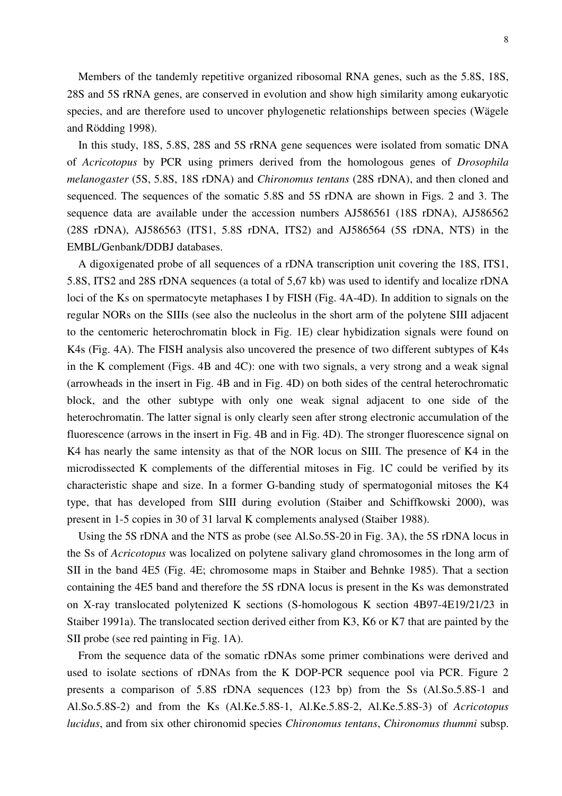Members of the tandemly repetitive organized ribosomal RNA genes, such as the 5.8S, 18S, 28S and 5S rRNA genes, are conserved in evolution and show high similarity among eukaryotic species, and are therefore used to uncover phylogenetic relationships between species (Wägele and Rödding 1998).

 In this study, 18S, 5.8S, 28S and 5S rRNA gene sequences were isolated from somatic DNA of *Acricotopus* by PCR using primers derived from the homologous genes of *Drosophila melanogaster* (5S, 5.8S, 18S rDNA) and *Chironomus tentans* (28S rDNA), and then cloned and sequenced. The sequences of the somatic 5.8S and 5S rDNA are shown in Figs. 2 and 3. The sequence data are available under the accession numbers AJ586561 (18S rDNA), AJ586562 (28S rDNA), AJ586563 (ITS1, 5.8S rDNA, ITS2) and AJ586564 (5S rDNA, NTS) in the EMBL/Genbank/DDBJ databases.

 A digoxigenated probe of all sequences of a rDNA transcription unit covering the 18S, ITS1, 5.8S, ITS2 and 28S rDNA sequences (a total of 5,67 kb) was used to identify and localize rDNA loci of the Ks on spermatocyte metaphases I by FISH (Fig. 4A-4D). In addition to signals on the regular NORs on the SIIIs (see also the nucleolus in the short arm of the polytene SIII adjacent to the centomeric heterochromatin block in Fig. 1E) clear hybidization signals were found on K4s (Fig. 4A). The FISH analysis also uncovered the presence of two different subtypes of K4s in the K complement (Figs. 4B and 4C): one with two signals, a very strong and a weak signal (arrowheads in the insert in Fig. 4B and in Fig. 4D) on both sides of the central heterochromatic block, and the other subtype with only one weak signal adjacent to one side of the heterochromatin. The latter signal is only clearly seen after strong electronic accumulation of the fluorescence (arrows in the insert in Fig. 4B and in Fig. 4D). The stronger fluorescence signal on K4 has nearly the same intensity as that of the NOR locus on SIII. The presence of K4 in the microdissected K complements of the differential mitoses in Fig. 1C could be verified by its characteristic shape and size. In a former G-banding study of spermatogonial mitoses the K4 type, that has developed from SIII during evolution (Staiber and Schiffkowski 2000), was present in 1-5 copies in 30 of 31 larval K complements analysed (Staiber 1988).

 Using the 5S rDNA and the NTS as probe (see Al.So.5S-20 in Fig. 3A), the 5S rDNA locus in the Ss of *Acricotopus* was localized on polytene salivary gland chromosomes in the long arm of SII in the band 4E5 (Fig. 4E; chromosome maps in Staiber and Behnke 1985). That a section containing the 4E5 band and therefore the 5S rDNA locus is present in the Ks was demonstrated on X-ray translocated polytenized K sections (S-homologous K section 4B97-4E19/21/23 in Staiber 1991a). The translocated section derived either from K3, K6 or K7 that are painted by the SII probe (see red painting in Fig. 1A).

 From the sequence data of the somatic rDNAs some primer combinations were derived and used to isolate sections of rDNAs from the K DOP-PCR sequence pool via PCR. Figure 2 presents a comparison of 5.8S rDNA sequences (123 bp) from the Ss (Al.So.5.8S-1 and Al.So.5.8S-2) and from the Ks (Al.Ke.5.8S-1, Al.Ke.5.8S-2, Al.Ke.5.8S-3) of *Acricotopus lucidus*, and from six other chironomid species *Chironomus tentans*, *Chironomus thummi* subsp.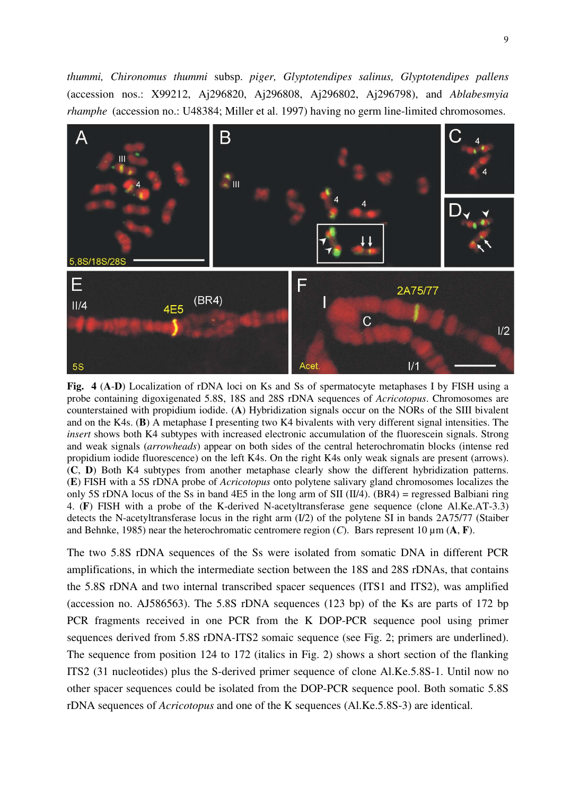*thummi, Chironomus thummi* subsp. *piger, Glyptotendipes salinus, Glyptotendipes pallens*  (accession nos.: X99212, Aj296820, Aj296808, Aj296802, Aj296798), and *Ablabesmyia rhamphe* (accession no.: U48384; Miller et al. 1997) having no germ line-limited chromosomes.



**Fig. 4** (**A**-**D**) Localization of rDNA loci on Ks and Ss of spermatocyte metaphases I by FISH using a probe containing digoxigenated 5.8S, 18S and 28S rDNA sequences of *Acricotopus*. Chromosomes are counterstained with propidium iodide. (**A**) Hybridization signals occur on the NORs of the SIII bivalent and on the K4s. (**B**) A metaphase I presenting two K4 bivalents with very different signal intensities. The *insert* shows both K4 subtypes with increased electronic accumulation of the fluorescein signals. Strong and weak signals (*arrowheads*) appear on both sides of the central heterochromatin blocks (intense red propidium iodide fluorescence) on the left K4s. On the right K4s only weak signals are present (arrows). (**C**, **D**) Both K4 subtypes from another metaphase clearly show the different hybridization patterns. (**E**) FISH with a 5S rDNA probe of *Acricotopus* onto polytene salivary gland chromosomes localizes the only 5S rDNA locus of the Ss in band 4E5 in the long arm of SII (II/4). (BR4) = regressed Balbiani ring 4. (**F**) FISH with a probe of the K-derived N-acetyltransferase gene sequence (clone Al.Ke.AT-3.3) detects the N-acetyltransferase locus in the right arm (I/2) of the polytene SI in bands 2A75/77 (Staiber and Behnke, 1985) near the heterochromatic centromere region (*C*). Bars represent 10 µm (**A**, **F**).

The two 5.8S rDNA sequences of the Ss were isolated from somatic DNA in different PCR amplifications, in which the intermediate section between the 18S and 28S rDNAs, that contains the 5.8S rDNA and two internal transcribed spacer sequences (ITS1 and ITS2), was amplified (accession no. AJ586563). The 5.8S rDNA sequences (123 bp) of the Ks are parts of 172 bp PCR fragments received in one PCR from the K DOP-PCR sequence pool using primer sequences derived from 5.8S rDNA-ITS2 somaic sequence (see Fig. 2; primers are underlined). The sequence from position 124 to 172 (italics in Fig. 2) shows a short section of the flanking ITS2 (31 nucleotides) plus the S-derived primer sequence of clone Al.Ke.5.8S-1. Until now no other spacer sequences could be isolated from the DOP-PCR sequence pool. Both somatic 5.8S rDNA sequences of *Acricotopus* and one of the K sequences (Al.Ke.5.8S-3) are identical.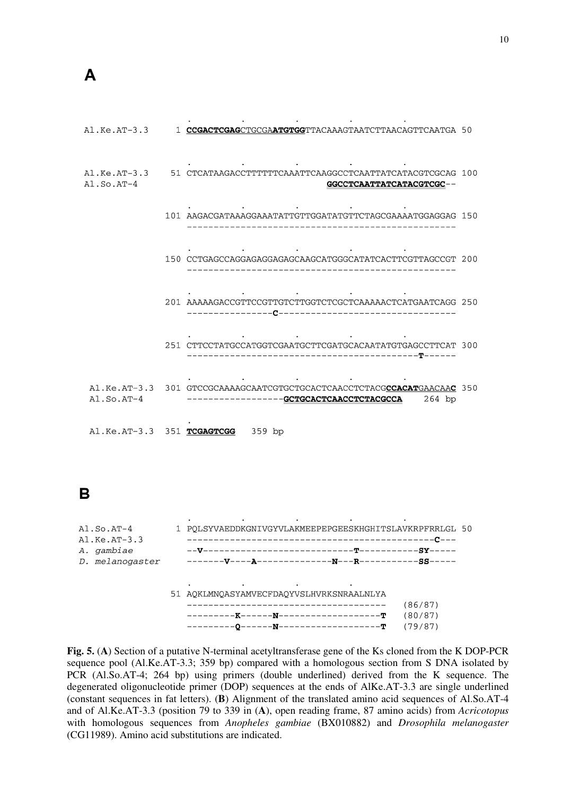| $AI.Ke.AT-3.3$ | 1 CCGACTCGAGCTGCGAATGTGGTTACAAAGTAATCTTAACAGTTCAATGA 50                                                               |  |
|----------------|-----------------------------------------------------------------------------------------------------------------------|--|
| $AI.SO.AT-4$   | Al.Ke.AT-3.3 51 CTCATAAGACCTTTTTTCAAATTCAAGGCCTCAATTATCATACGTCGCAG 100<br>GGCCTCAATTATCATACGTCGC--                    |  |
|                | 101 AAGACGATAAAGGAAATATTGTTGGATATGTTCTAGCGAAAATGGAGGAG 150                                                            |  |
|                | 150 CCTGAGCCAGGAGAGGAGAGCAAGCATGGGCATATCACTTCGTTAGCCGT 200                                                            |  |
|                | 201 AAAAAGACCGTTCCGTTGTCTTGGTCTCGCTCAAAAACTCATGAATCAGG 250                                                            |  |
|                | 251 CTTCCTATGCCATGGTCGAATGCTTCGATGCACAATATGTGAGCCTTCAT 300                                                            |  |
| $AI.SO.AT-4$   | A1.Ke.AT-3.3 301 GTCCGCAAAAGCAATCGTGCTGCACTCAACCTCTACGCCACATGAACAAC 350<br>--------GCTGCACTCAACCTCTACGCCA<br>$264$ bp |  |
|                | Al.Ke.AT-3.3 351 TCGAGTCGG 359 bp                                                                                     |  |

B

| $A1.SO.AT-4$<br>$AI.Ke.AT-3.3$ | 1 POLSYVAEDDKGNIVGYVLAKMEEPEPGEESKHGHITSLAVKRPFRRLGL 50 |         |  |  |  |  |
|--------------------------------|---------------------------------------------------------|---------|--|--|--|--|
| A. gambiae                     |                                                         |         |  |  |  |  |
| D. melanogaster                |                                                         |         |  |  |  |  |
|                                |                                                         |         |  |  |  |  |
|                                |                                                         |         |  |  |  |  |
|                                | 51 AOKLMNOASYAMVECFDAOYVSLHVRKSNRAALNLYA                |         |  |  |  |  |
|                                | -----------------------                                 | (86/87) |  |  |  |  |
|                                | -------K------N--------------------T                    | (80/87) |  |  |  |  |
|                                |                                                         | (79/87) |  |  |  |  |
|                                |                                                         |         |  |  |  |  |

**Fig. 5.** (**A**) Section of a putative N-terminal acetyltransferase gene of the Ks cloned from the K DOP-PCR sequence pool (Al.Ke.AT-3.3; 359 bp) compared with a homologous section from S DNA isolated by PCR (Al.So.AT-4; 264 bp) using primers (double underlined) derived from the K sequence. The degenerated oligonucleotide primer (DOP) sequences at the ends of AlKe.AT-3.3 are single underlined (constant sequences in fat letters). (**B**) Alignment of the translated amino acid sequences of Al.So.AT-4 and of Al.Ke.AT-3.3 (position 79 to 339 in (**A**), open reading frame, 87 amino acids) from *Acricotopus* with homologous sequences from *Anopheles gambiae* (BX010882) and *Drosophila melanogaster* (CG11989). Amino acid substitutions are indicated.

10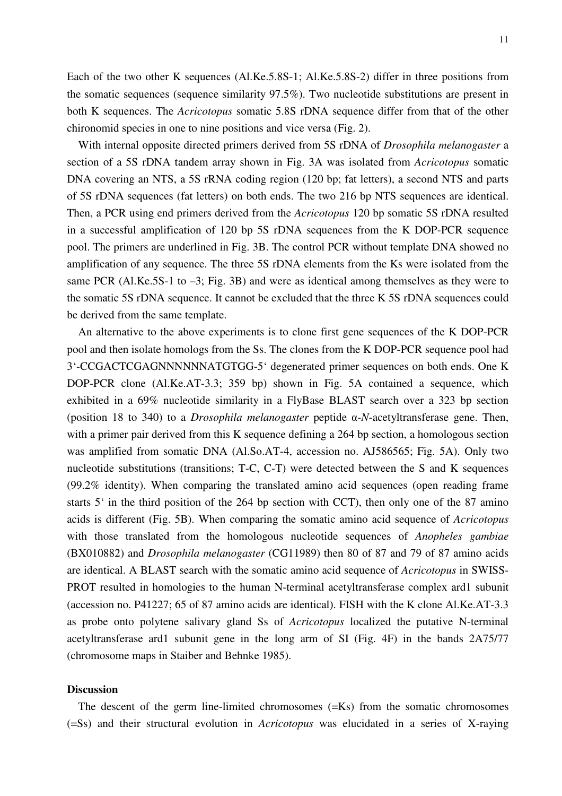Each of the two other K sequences (Al.Ke.5.8S-1; Al.Ke.5.8S-2) differ in three positions from the somatic sequences (sequence similarity 97.5%). Two nucleotide substitutions are present in both K sequences. The *Acricotopus* somatic 5.8S rDNA sequence differ from that of the other chironomid species in one to nine positions and vice versa (Fig. 2).

 With internal opposite directed primers derived from 5S rDNA of *Drosophila melanogaster* a section of a 5S rDNA tandem array shown in Fig. 3A was isolated from *Acricotopus* somatic DNA covering an NTS, a 5S rRNA coding region (120 bp; fat letters), a second NTS and parts of 5S rDNA sequences (fat letters) on both ends. The two 216 bp NTS sequences are identical. Then, a PCR using end primers derived from the *Acricotopus* 120 bp somatic 5S rDNA resulted in a successful amplification of 120 bp 5S rDNA sequences from the K DOP-PCR sequence pool. The primers are underlined in Fig. 3B. The control PCR without template DNA showed no amplification of any sequence. The three 5S rDNA elements from the Ks were isolated from the same PCR (Al.Ke.5S-1 to –3; Fig. 3B) and were as identical among themselves as they were to the somatic 5S rDNA sequence. It cannot be excluded that the three K 5S rDNA sequences could be derived from the same template.

 An alternative to the above experiments is to clone first gene sequences of the K DOP-PCR pool and then isolate homologs from the Ss. The clones from the K DOP-PCR sequence pool had 3'-CCGACTCGAGNNNNNNATGTGG-5' degenerated primer sequences on both ends. One K DOP-PCR clone (Al.Ke.AT-3.3; 359 bp) shown in Fig. 5A contained a sequence, which exhibited in a 69% nucleotide similarity in a FlyBase BLAST search over a 323 bp section (position 18 to 340) to a *Drosophila melanogaster* peptide α-*N*-acetyltransferase gene. Then, with a primer pair derived from this K sequence defining a 264 bp section, a homologous section was amplified from somatic DNA (Al.So.AT-4, accession no. AJ586565; Fig. 5A). Only two nucleotide substitutions (transitions; T-C, C-T) were detected between the S and K sequences (99.2% identity). When comparing the translated amino acid sequences (open reading frame starts 5' in the third position of the 264 bp section with CCT), then only one of the 87 amino acids is different (Fig. 5B). When comparing the somatic amino acid sequence of *Acricotopus* with those translated from the homologous nucleotide sequences of *Anopheles gambiae* (BX010882) and *Drosophila melanogaster* (CG11989) then 80 of 87 and 79 of 87 amino acids are identical. A BLAST search with the somatic amino acid sequence of *Acricotopus* in SWISS-PROT resulted in homologies to the human N-terminal acetyltransferase complex ard1 subunit (accession no. P41227; 65 of 87 amino acids are identical). FISH with the K clone Al.Ke.AT-3.3 as probe onto polytene salivary gland Ss of *Acricotopus* localized the putative N-terminal acetyltransferase ard1 subunit gene in the long arm of SI (Fig. 4F) in the bands 2A75/77 (chromosome maps in Staiber and Behnke 1985).

#### **Discussion**

 The descent of the germ line-limited chromosomes (=Ks) from the somatic chromosomes (=Ss) and their structural evolution in *Acricotopus* was elucidated in a series of X-raying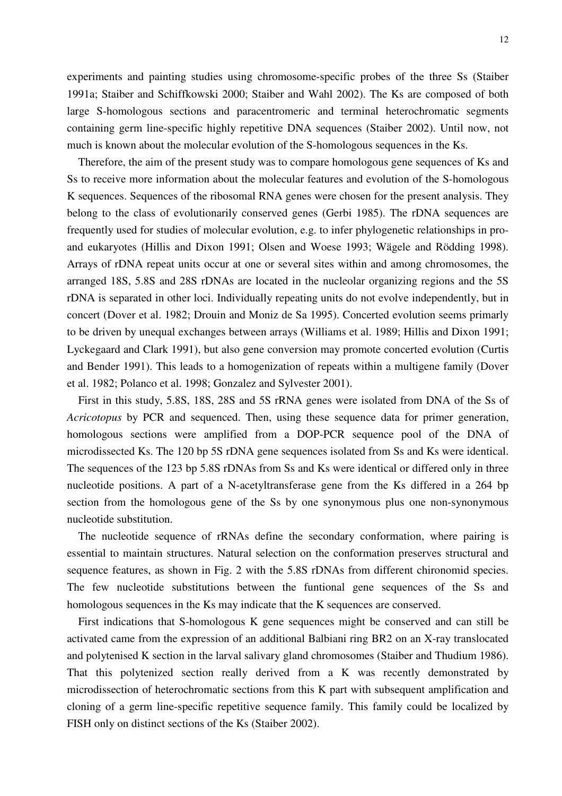experiments and painting studies using chromosome-specific probes of the three Ss (Staiber 1991a; Staiber and Schiffkowski 2000; Staiber and Wahl 2002). The Ks are composed of both large S-homologous sections and paracentromeric and terminal heterochromatic segments containing germ line-specific highly repetitive DNA sequences (Staiber 2002). Until now, not much is known about the molecular evolution of the S-homologous sequences in the Ks.

 Therefore, the aim of the present study was to compare homologous gene sequences of Ks and Ss to receive more information about the molecular features and evolution of the S-homologous K sequences. Sequences of the ribosomal RNA genes were chosen for the present analysis. They belong to the class of evolutionarily conserved genes (Gerbi 1985). The rDNA sequences are frequently used for studies of molecular evolution, e.g. to infer phylogenetic relationships in proand eukaryotes (Hillis and Dixon 1991; Olsen and Woese 1993; Wägele and Rödding 1998). Arrays of rDNA repeat units occur at one or several sites within and among chromosomes, the arranged 18S, 5.8S and 28S rDNAs are located in the nucleolar organizing regions and the 5S rDNA is separated in other loci. Individually repeating units do not evolve independently, but in concert (Dover et al. 1982; Drouin and Moniz de Sa 1995). Concerted evolution seems primarly to be driven by unequal exchanges between arrays (Williams et al. 1989; Hillis and Dixon 1991; Lyckegaard and Clark 1991), but also gene conversion may promote concerted evolution (Curtis and Bender 1991). This leads to a homogenization of repeats within a multigene family (Dover et al. 1982; Polanco et al. 1998; Gonzalez and Sylvester 2001).

 First in this study, 5.8S, 18S, 28S and 5S rRNA genes were isolated from DNA of the Ss of *Acricotopus* by PCR and sequenced. Then, using these sequence data for primer generation, homologous sections were amplified from a DOP-PCR sequence pool of the DNA of microdissected Ks. The 120 bp 5S rDNA gene sequences isolated from Ss and Ks were identical. The sequences of the 123 bp 5.8S rDNAs from Ss and Ks were identical or differed only in three nucleotide positions. A part of a N-acetyltransferase gene from the Ks differed in a 264 bp section from the homologous gene of the Ss by one synonymous plus one non-synonymous nucleotide substitution.

 The nucleotide sequence of rRNAs define the secondary conformation, where pairing is essential to maintain structures. Natural selection on the conformation preserves structural and sequence features, as shown in Fig. 2 with the 5.8S rDNAs from different chironomid species. The few nucleotide substitutions between the funtional gene sequences of the Ss and homologous sequences in the Ks may indicate that the K sequences are conserved.

 First indications that S-homologous K gene sequences might be conserved and can still be activated came from the expression of an additional Balbiani ring BR2 on an X-ray translocated and polytenised K section in the larval salivary gland chromosomes (Staiber and Thudium 1986). That this polytenized section really derived from a K was recently demonstrated by microdissection of heterochromatic sections from this K part with subsequent amplification and cloning of a germ line-specific repetitive sequence family. This family could be localized by FISH only on distinct sections of the Ks (Staiber 2002).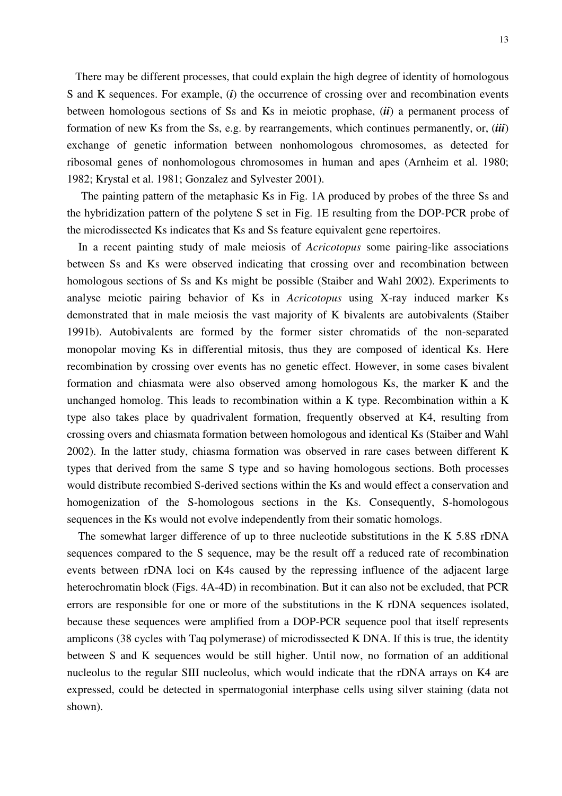There may be different processes, that could explain the high degree of identity of homologous S and K sequences. For example, (*i*) the occurrence of crossing over and recombination events between homologous sections of Ss and Ks in meiotic prophase, (*ii*) a permanent process of formation of new Ks from the Ss, e.g. by rearrangements, which continues permanently, or, (*iii*) exchange of genetic information between nonhomologous chromosomes, as detected for ribosomal genes of nonhomologous chromosomes in human and apes (Arnheim et al. 1980; 1982; Krystal et al. 1981; Gonzalez and Sylvester 2001).

 The painting pattern of the metaphasic Ks in Fig. 1A produced by probes of the three Ss and the hybridization pattern of the polytene S set in Fig. 1E resulting from the DOP-PCR probe of the microdissected Ks indicates that Ks and Ss feature equivalent gene repertoires.

 In a recent painting study of male meiosis of *Acricotopus* some pairing-like associations between Ss and Ks were observed indicating that crossing over and recombination between homologous sections of Ss and Ks might be possible (Staiber and Wahl 2002). Experiments to analyse meiotic pairing behavior of Ks in *Acricotopus* using X-ray induced marker Ks demonstrated that in male meiosis the vast majority of K bivalents are autobivalents (Staiber 1991b). Autobivalents are formed by the former sister chromatids of the non-separated monopolar moving Ks in differential mitosis, thus they are composed of identical Ks. Here recombination by crossing over events has no genetic effect. However, in some cases bivalent formation and chiasmata were also observed among homologous Ks, the marker K and the unchanged homolog. This leads to recombination within a K type. Recombination within a K type also takes place by quadrivalent formation, frequently observed at K4, resulting from crossing overs and chiasmata formation between homologous and identical Ks (Staiber and Wahl 2002). In the latter study, chiasma formation was observed in rare cases between different K types that derived from the same S type and so having homologous sections. Both processes would distribute recombied S-derived sections within the Ks and would effect a conservation and homogenization of the S-homologous sections in the Ks. Consequently, S-homologous sequences in the Ks would not evolve independently from their somatic homologs.

 The somewhat larger difference of up to three nucleotide substitutions in the K 5.8S rDNA sequences compared to the S sequence, may be the result off a reduced rate of recombination events between rDNA loci on K4s caused by the repressing influence of the adjacent large heterochromatin block (Figs. 4A-4D) in recombination. But it can also not be excluded, that PCR errors are responsible for one or more of the substitutions in the K rDNA sequences isolated, because these sequences were amplified from a DOP-PCR sequence pool that itself represents amplicons (38 cycles with Taq polymerase) of microdissected K DNA. If this is true, the identity between S and K sequences would be still higher. Until now, no formation of an additional nucleolus to the regular SIII nucleolus, which would indicate that the rDNA arrays on K4 are expressed, could be detected in spermatogonial interphase cells using silver staining (data not shown).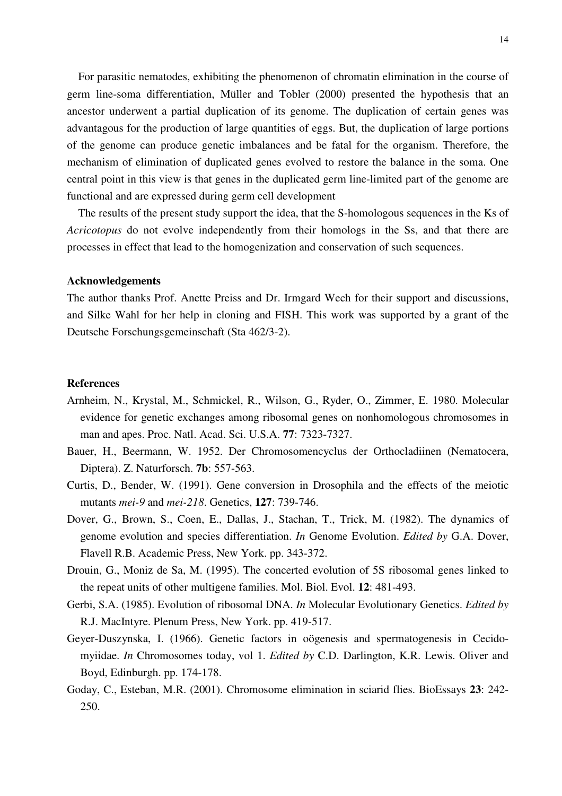For parasitic nematodes, exhibiting the phenomenon of chromatin elimination in the course of germ line-soma differentiation, Müller and Tobler (2000) presented the hypothesis that an ancestor underwent a partial duplication of its genome. The duplication of certain genes was advantagous for the production of large quantities of eggs. But, the duplication of large portions of the genome can produce genetic imbalances and be fatal for the organism. Therefore, the mechanism of elimination of duplicated genes evolved to restore the balance in the soma. One central point in this view is that genes in the duplicated germ line-limited part of the genome are functional and are expressed during germ cell development

 The results of the present study support the idea, that the S-homologous sequences in the Ks of *Acricotopus* do not evolve independently from their homologs in the Ss, and that there are processes in effect that lead to the homogenization and conservation of such sequences.

#### **Acknowledgements**

The author thanks Prof. Anette Preiss and Dr. Irmgard Wech for their support and discussions, and Silke Wahl for her help in cloning and FISH. This work was supported by a grant of the Deutsche Forschungsgemeinschaft (Sta 462/3-2).

## **References**

- Arnheim, N., Krystal, M., Schmickel, R., Wilson, G., Ryder, O., Zimmer, E. 1980. Molecular evidence for genetic exchanges among ribosomal genes on nonhomologous chromosomes in man and apes. Proc. Natl. Acad. Sci. U.S.A. **77**: 7323-7327.
- Bauer, H., Beermann, W. 1952. Der Chromosomencyclus der Orthocladiinen (Nematocera, Diptera). Z. Naturforsch. **7b**: 557-563.
- Curtis, D., Bender, W. (1991). Gene conversion in Drosophila and the effects of the meiotic mutants *mei-9* and *mei-218*. Genetics, **127**: 739-746.
- Dover, G., Brown, S., Coen, E., Dallas, J., Stachan, T., Trick, M. (1982). The dynamics of genome evolution and species differentiation. *In* Genome Evolution. *Edited by* G.A. Dover, Flavell R.B. Academic Press, New York. pp. 343-372.
- Drouin, G., Moniz de Sa, M. (1995). The concerted evolution of 5S ribosomal genes linked to the repeat units of other multigene families. Mol. Biol. Evol. **12**: 481-493.
- Gerbi, S.A. (1985). Evolution of ribosomal DNA. *In* Molecular Evolutionary Genetics. *Edited by* R.J. MacIntyre. Plenum Press, New York. pp. 419-517.
- Geyer-Duszynska, I. (1966). Genetic factors in oögenesis and spermatogenesis in Cecidomyiidae. *In* Chromosomes today, vol 1. *Edited by* C.D. Darlington, K.R. Lewis. Oliver and Boyd, Edinburgh. pp. 174-178.
- Goday, C., Esteban, M.R. (2001). Chromosome elimination in sciarid flies. BioEssays **23**: 242- 250.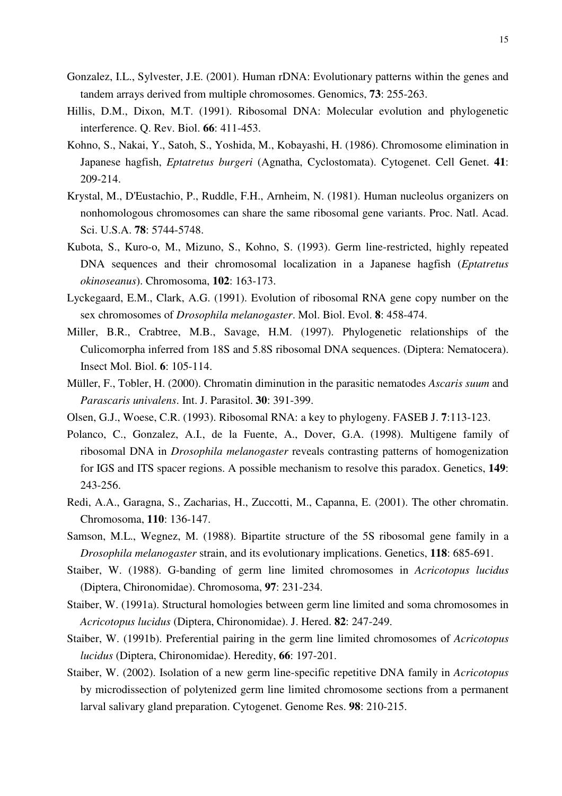- Gonzalez, I.L., Sylvester, J.E. (2001). Human rDNA: Evolutionary patterns within the genes and tandem arrays derived from multiple chromosomes. Genomics, **73**: 255-263.
- Hillis, D.M., Dixon, M.T. (1991). Ribosomal DNA: Molecular evolution and phylogenetic interference. Q. Rev. Biol. **66**: 411-453.
- Kohno, S., Nakai, Y., Satoh, S., Yoshida, M., Kobayashi, H. (1986). Chromosome elimination in Japanese hagfish, *Eptatretus burgeri* (Agnatha, Cyclostomata). Cytogenet. Cell Genet. **41**: 209-214.
- Krystal, M., D'Eustachio, P., Ruddle, F.H., Arnheim, N. (1981). Human nucleolus organizers on nonhomologous chromosomes can share the same ribosomal gene variants. Proc. Natl. Acad. Sci. U.S.A. **78**: 5744-5748.
- Kubota, S., Kuro-o, M., Mizuno, S., Kohno, S. (1993). Germ line-restricted, highly repeated DNA sequences and their chromosomal localization in a Japanese hagfish (*Eptatretus okinoseanus*). Chromosoma, **102**: 163-173.
- Lyckegaard, E.M., Clark, A.G. (1991). Evolution of ribosomal RNA gene copy number on the sex chromosomes of *Drosophila melanogaster*. Mol. Biol. Evol. **8**: 458-474.
- Miller, B.R., Crabtree, M.B., Savage, H.M. (1997). Phylogenetic relationships of the Culicomorpha inferred from 18S and 5.8S ribosomal DNA sequences. (Diptera: Nematocera). Insect Mol. Biol. **6**: 105-114.
- Müller, F., Tobler, H. (2000). Chromatin diminution in the parasitic nematodes *Ascaris suum* and *Parascaris univalens*. Int. J. Parasitol. **30**: 391-399.
- Olsen, G.J., Woese, C.R. (1993). Ribosomal RNA: a key to phylogeny. FASEB J. **7**:113-123.
- Polanco, C., Gonzalez, A.I., de la Fuente, A., Dover, G.A. (1998). Multigene family of ribosomal DNA in *Drosophila melanogaster* reveals contrasting patterns of homogenization for IGS and ITS spacer regions. A possible mechanism to resolve this paradox. Genetics, **149**: 243-256.
- Redi, A.A., Garagna, S., Zacharias, H., Zuccotti, M., Capanna, E. (2001). The other chromatin. Chromosoma, **110**: 136-147.
- Samson, M.L., Wegnez, M. (1988). Bipartite structure of the 5S ribosomal gene family in a *Drosophila melanogaster* strain, and its evolutionary implications. Genetics, **118**: 685-691.
- Staiber, W. (1988). G-banding of germ line limited chromosomes in *Acricotopus lucidus* (Diptera, Chironomidae). Chromosoma, **97**: 231-234.
- Staiber, W. (1991a). Structural homologies between germ line limited and soma chromosomes in *Acricotopus lucidus* (Diptera, Chironomidae). J. Hered. **82**: 247-249.
- Staiber, W. (1991b). Preferential pairing in the germ line limited chromosomes of *Acricotopus lucidus* (Diptera, Chironomidae). Heredity, **66**: 197-201.
- Staiber, W. (2002). Isolation of a new germ line-specific repetitive DNA family in *Acricotopus* by microdissection of polytenized germ line limited chromosome sections from a permanent larval salivary gland preparation. Cytogenet. Genome Res. **98**: 210-215.